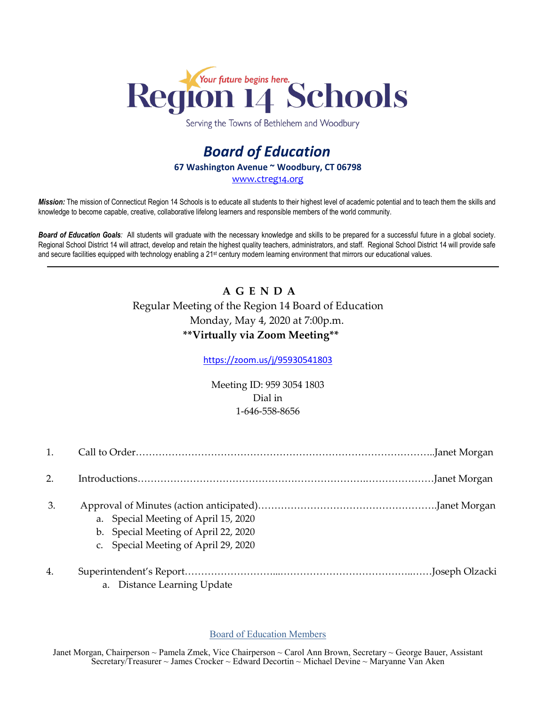

Serving the Towns of Bethlehem and Woodbury

## *Board of Education* **67 Washington Avenue ~ Woodbury, CT 06798** [www.ctreg14.org](http://www.ctreg14.org/)

*Mission:* The mission of Connecticut Region 14 Schools is to educate all students to their highest level of academic potential and to teach them the skills and knowledge to become capable, creative, collaborative lifelong learners and responsible members of the world community.

*Board of Education Goals:* All students will graduate with the necessary knowledge and skills to be prepared for a successful future in a global society. Regional School District 14 will attract, develop and retain the highest quality teachers, administrators, and staff. Regional School District 14 will provide safe and secure facilities equipped with technology enabling a 21<sup>st</sup> century modern learning environment that mirrors our educational values.

## **A G E N D A**  Regular Meeting of the Region 14 Board of Education Monday, May 4, 2020 at 7:00p.m. **\*\*Virtually via Zoom Meeting\*\***

<https://zoom.us/j/95930541803>

Meeting ID: 959 3054 1803 Dial in 1-646-558-8656

| 1. |                                                                              |
|----|------------------------------------------------------------------------------|
| 2. |                                                                              |
| 3. | a. Special Meeting of April 15, 2020<br>b. Special Meeting of April 22, 2020 |
|    | c. Special Meeting of April 29, 2020                                         |
| 4. |                                                                              |

a. Distance Learning Update

## Board of Education Members

Janet Morgan, Chairperson ~ Pamela Zmek, Vice Chairperson ~ Carol Ann Brown, Secretary ~ George Bauer, Assistant Secretary/Treasurer ~ James Crocker ~ Edward Decortin ~ Michael Devine ~ Maryanne Van Aken